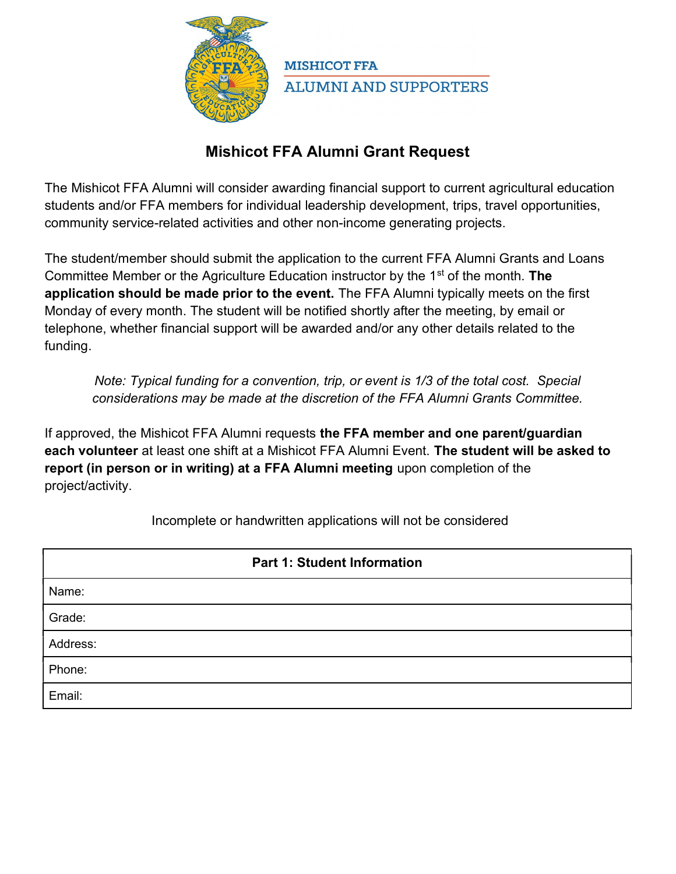

**MISHICOT FFA ALUMNI AND SUPPORTERS** 

## Mishicot FFA Alumni Grant Request

The Mishicot FFA Alumni will consider awarding financial support to current agricultural education students and/or FFA members for individual leadership development, trips, travel opportunities, community service-related activities and other non-income generating projects.

The student/member should submit the application to the current FFA Alumni Grants and Loans Committee Member or the Agriculture Education instructor by the 1<sup>st</sup> of the month. The application should be made prior to the event. The FFA Alumni typically meets on the first Monday of every month. The student will be notified shortly after the meeting, by email or telephone, whether financial support will be awarded and/or any other details related to the funding.

Note: Typical funding for a convention, trip, or event is 1/3 of the total cost. Special considerations may be made at the discretion of the FFA Alumni Grants Committee.

If approved, the Mishicot FFA Alumni requests the FFA member and one parent/guardian each volunteer at least one shift at a Mishicot FFA Alumni Event. The student will be asked to report (in person or in writing) at a FFA Alumni meeting upon completion of the project/activity.

Incomplete or handwritten applications will not be considered

| <b>Part 1: Student Information</b> |  |  |
|------------------------------------|--|--|
| Name:                              |  |  |
| Grade:                             |  |  |
| Address:                           |  |  |
| Phone:                             |  |  |
| Email:                             |  |  |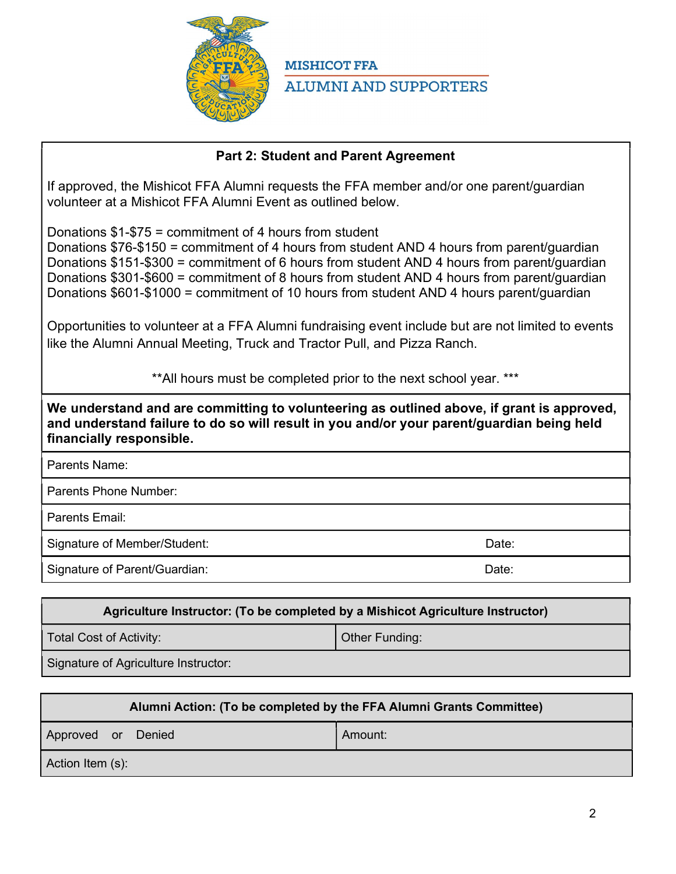

**MISHICOT FFA ALUMNI AND SUPPORTERS** 

## Part 2: Student and Parent Agreement

If approved, the Mishicot FFA Alumni requests the FFA member and/or one parent/guardian volunteer at a Mishicot FFA Alumni Event as outlined below.

Donations \$1-\$75 = commitment of 4 hours from student

Donations \$76-\$150 = commitment of 4 hours from student AND 4 hours from parent/guardian Donations \$151-\$300 = commitment of 6 hours from student AND 4 hours from parent/guardian Donations \$301-\$600 = commitment of 8 hours from student AND 4 hours from parent/guardian Donations \$601-\$1000 = commitment of 10 hours from student AND 4 hours parent/guardian

Opportunities to volunteer at a FFA Alumni fundraising event include but are not limited to events like the Alumni Annual Meeting, Truck and Tractor Pull, and Pizza Ranch.

\*\*All hours must be completed prior to the next school year. \*\*\*

We understand and are committing to volunteering as outlined above, if grant is approved, and understand failure to do so will result in you and/or your parent/guardian being held financially responsible.

| Parents Name:                 |       |
|-------------------------------|-------|
| Parents Phone Number:         |       |
| Parents Email:                |       |
| Signature of Member/Student:  | Date: |
| Signature of Parent/Guardian: | Date: |
|                               |       |

## Agriculture Instructor: (To be completed by a Mishicot Agriculture Instructor) Total Cost of Activity:  $\vert$  Other Funding: Signature of Agriculture Instructor:

| Alumni Action: (To be completed by the FFA Alumni Grants Committee) |  |         |  |
|---------------------------------------------------------------------|--|---------|--|
| Approved or Denied                                                  |  | Amount: |  |
| Action Item (s):                                                    |  |         |  |